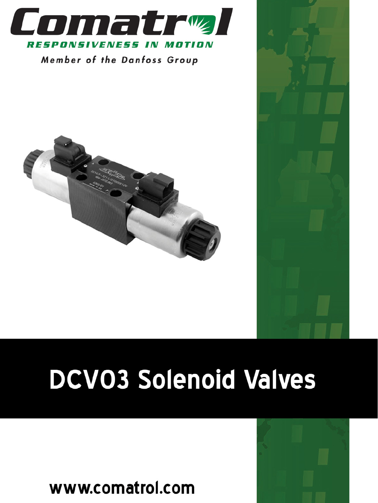

Member of the Danfoss Group



# **DCV03 Solenoid Valves**

www.comatrol.com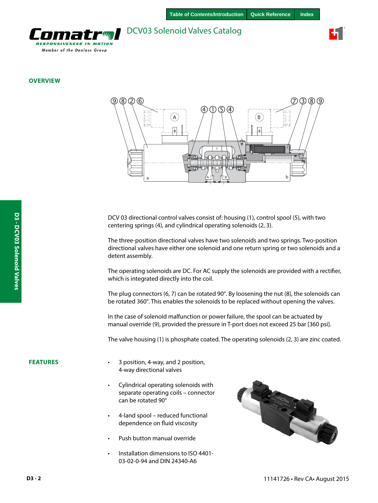

<span id="page-1-0"></span>

# **OVERVIEW**



DCV 03 directional control valves consist of: housing (1), control spool (5), with two centering springs (4), and cylindrical operating solenoids (2, 3).

The three-position directional valves have two solenoids and two springs. Two-position directional valves have either one solenoid and one return spring or two solenoids and a detent assembly.

The operating solenoids are DC. For AC supply the solenoids are provided with a rectifier, which is integrated directly into the coil.

The plug connectors (6, 7) can be rotated 90°. By loosening the nut (8), the solenoids can be rotated 360°. This enables the solenoids to be replaced without opening the valves.

In the case of solenoid malfunction or power failure, the spool can be actuated by manual override (9), provided the pressure in T-port does not exceed 25 bar [360 psi].

The valve housing (1) is phosphate coated. The operating solenoids (2, 3) are zinc coated.

### **FEATURES**

- 3 position, 4-way, and 2 position, 4-way directional valves
- Cylindrical operating solenoids with separate operating coils – connector can be rotated 90°
- 4-land spool reduced functional dependence on fluid viscosity
- Push button manual override
- Installation dimensions to ISO 4401- 03-02-0-94 and DIN 24340-A6

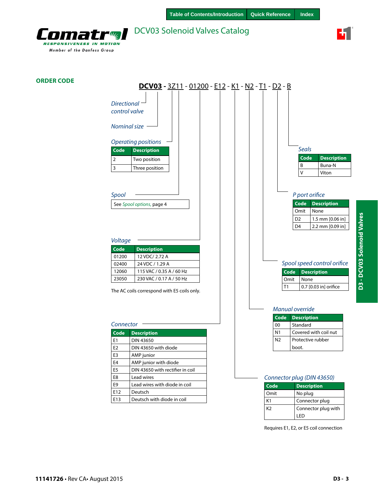



### **ORDER CODE**



Requires E1, E2, or E5 coil connection

K2 Connector plug with LED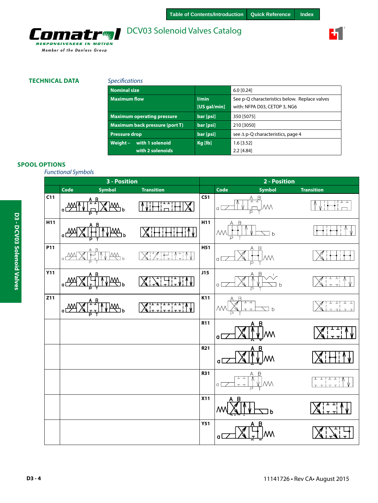

÷.

# **TECHNICAL DATA**

# *Specifications*

| Nominal size                                   |                                              | $6.0$ [0.24]                                  |  |
|------------------------------------------------|----------------------------------------------|-----------------------------------------------|--|
| <b>Maximum flow</b>                            | l/min                                        | See p-Q characteristics below. Replace valves |  |
|                                                | with: NFPA D03, CETOP 3, NG6<br>[US gal/min] |                                               |  |
| <b>Maximum operating pressure</b><br>bar [psi] |                                              | 350 [5075]                                    |  |
| Maximum back pressure (port T)<br>bar [psi]    |                                              | 210 [3050]                                    |  |
| <b>Pressure drop</b>                           | bar [psi]                                    | see $\Delta$ p-Q characteristics, page 4      |  |
| Weight -<br>with 1 solenoid                    | $Kq$ [lb]                                    | $1.6$ [3.52]                                  |  |
| with 2 solenoids                               |                                              | $2.2$ [4.84]                                  |  |

# **SPOOL OPTIONS**

*Functional Symbols*

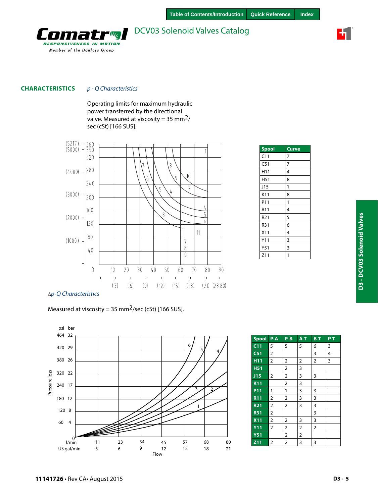

#### *p - Q Characteristics* **CHARACTERISTICS**

Operating limits for maximum hydraulic power transferred by the directional valve. Measured at viscosity =  $35 \text{ mm}^2$ / sec (cSt) [166 SUS].



| <b>Spool</b>    | <b>Curve</b> |
|-----------------|--------------|
| C11             | 7            |
| C <sub>51</sub> | 7            |
| H11             | 4            |
| H51             | 8            |
| J15             | 1            |
| K11             | 8            |
| P11             | $\mathbf{1}$ |
| R11             | 4            |
| R <sub>21</sub> | 5            |
| R31             | 6            |
| X11             | 4            |
| Y11             | 3            |
| Y51             | 3            |
| Z11             | 1            |
|                 |              |

#### ∆*p-Q Characteristics*

Measured at viscosity = 35 mm<sup>2</sup>/sec (cSt) [166 SUS].



| <b>Spool</b>    | $P - A$        | $P-B$          | $A-T$ | $B-T$          | $P-T$ |
|-----------------|----------------|----------------|-------|----------------|-------|
| C <sub>11</sub> | 5              | 5              | 5     | 6              | 3     |
| C <sub>51</sub> | $\overline{2}$ |                |       | 3              | 4     |
| <b>H11</b>      | $\overline{2}$ | 2              | 2     | $\overline{2}$ | 3     |
| <b>H51</b>      |                | $\overline{2}$ | 3     |                |       |
| J15             | 2              | 2              | 3     | 3              |       |
| <b>K11</b>      |                | 2              | 3     |                |       |
| <b>P11</b>      | 1              | 1              | 3     | 3              |       |
| <b>R11</b>      | 2              | 2              | 3     | 3              |       |
| <b>R21</b>      | 2              | 2              | 3     | 3              |       |
| <b>R31</b>      | 2              |                |       | 3              |       |
| X <sub>11</sub> | 2              | $\overline{2}$ | 3     | 3              |       |
| <b>Y11</b>      | $\overline{2}$ | 2              | 2     | $\overline{2}$ |       |
| <b>Y51</b>      |                | $\overline{2}$ | 2     |                |       |
| Z11             | 2              | 2              | 3     | 3              |       |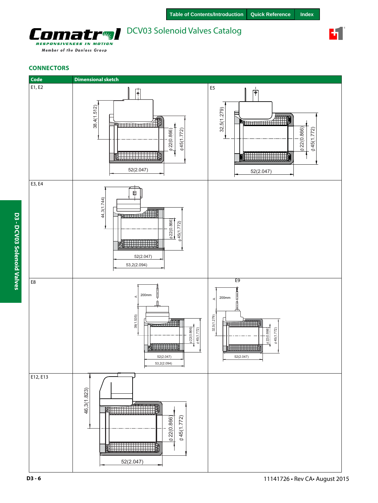

# **CONNECTORS**

ורו **RESPONSIVENESS IN MOTION** Member of the Danfoss Group

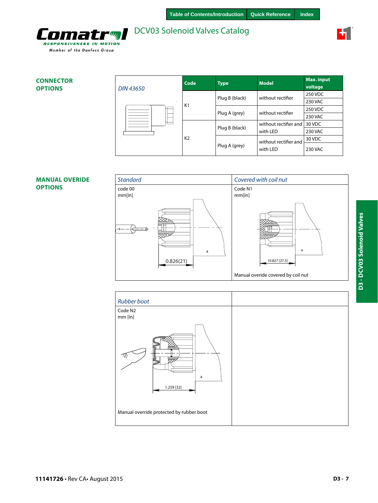



| <b>CONNECTOR</b><br><b>OPTIONS</b> | <b>DIN 43650</b> | Code           | <b>Type</b>    | <b>Model</b>                        | <b>Max. input</b><br>voltage |
|------------------------------------|------------------|----------------|----------------|-------------------------------------|------------------------------|
|                                    |                  |                |                |                                     | 250 VDC                      |
|                                    |                  |                | Plug B (black) | without rectifier                   | 230 VAC                      |
|                                    |                  | K1             |                | without rectifier                   | 250 VDC                      |
|                                    |                  |                | Plug A (grey)  |                                     | 230 VAC                      |
|                                    |                  |                |                | $\mid$ without rectifier and $\mid$ | 30 VDC                       |
|                                    |                  |                | Plug B (black) | with LED                            | 230 VAC                      |
|                                    |                  | K <sub>2</sub> |                | without rectifier and               | 30 VDC                       |
|                                    |                  |                | Plug A (grey)  | with LED                            | 230 VAC                      |

# **MANUAL OVERIDE OPTIONS**



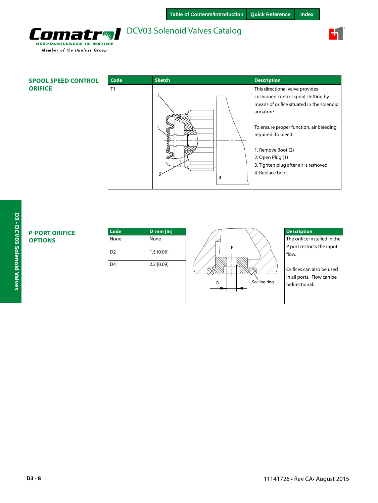

| <b>SPOOL SPEED CONTROL</b> | Code | <b>Sketch</b> | <b>Description</b>                                                                                                                                                                                                                                                                                      |
|----------------------------|------|---------------|---------------------------------------------------------------------------------------------------------------------------------------------------------------------------------------------------------------------------------------------------------------------------------------------------------|
| <b>ORIFICE</b>             | T1   | a             | This directional valve provides<br>cushioned control spool shifting by<br>means of orifice situated in the solenoid<br>armature.<br>To ensure proper function, air bleeding<br>required. To bleed:<br>1. Remove Boot (2)<br>2. Open Plug (1)<br>3. Tighten plug after air is removed<br>4. Replace boot |

# **P-PORT ORIFICE OPTIONS**

Comatrol RESPONSIVENESS IN MOTION Member of the Danfoss Group

| Code           | $D$ mm [in]  |                   | <b>Description</b>                                                       |
|----------------|--------------|-------------------|--------------------------------------------------------------------------|
| None           | None         |                   | The orifice installed in the                                             |
|                |              | P                 | P port restricts the input                                               |
| D <sub>2</sub> | $1.5$ [0.06] |                   | flow.                                                                    |
| D <sub>4</sub> | $2.2$ [0.09] | Sealing ring<br>D | Orifices can also be used<br>in all ports. Flow can be<br>bidirectional. |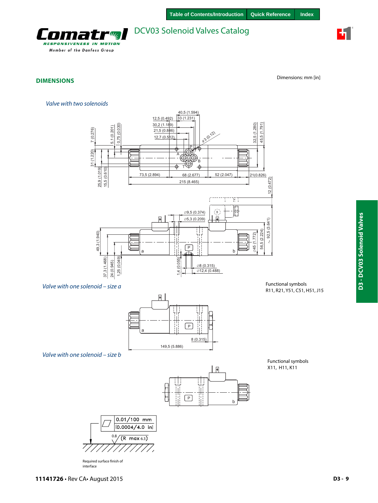

# **DIMENSIONS**

Dimensions: mm [in]

## *Valve with two solenoids*



# *Valve with one solenoid – size a*



Functional symbols R11, R21, Y51, C51, H51, J15

*Valve with one solenoid – size b*



Functional symbols X11, H11, K11



Required surface finish of interface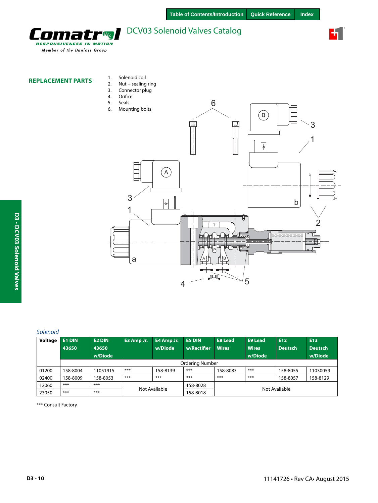

**REPLACEMENT PARTS**

П

m

**RESPONSIVENESS IN MOTION** Member of the Danfoss Group

- 1. Solenoid coil 2. Nut + sealing ring
- 3. Connector plug
- 4. Orifice<br>5. Seals **Seals**

 $\mathcal{F}(\mathcal{U})$ r,

> 6 6. Mounting bolts  $\bigcirc$ ti<br>H 3 1  $\sqrt{\frac{4}{10}}$ A 3  $\overline{\mathcal{L}}$ b 1 Ъ 2 T . . . . . . . . 凾 P a A!∏ f1!B  $\leftrightarrow$   $\leftrightarrow$  $4 - 5$

# *Solenoid*

| Voltage | <b>E1 DIN</b> | <b>E2 DIN</b> | E3 Amp Jr.    | E4 Amp Jr. | <b>E5 DIN</b>          | <b>E8 Lead</b> | <b>E9 Lead</b> | E12            | E <sub>13</sub> |
|---------|---------------|---------------|---------------|------------|------------------------|----------------|----------------|----------------|-----------------|
|         | 43650         | 43650         |               | w/Diode    | w/Rectifier            | <b>Wires</b>   | <b>Wires</b>   | <b>Deutsch</b> | <b>Deutsch</b>  |
|         |               | w/Diode       |               |            |                        |                | w/Diode        |                | w/Diode         |
|         |               |               |               |            | <b>Ordering Number</b> |                |                |                |                 |
| 01200   | 158-8004      | 11051915      | $***$         | 158-8139   | ***                    | 158-8083       | ***            | 158-8055       | 11030059        |
| 02400   | 158-8009      | 158-8053      | $***$         | ***        | ***                    | ***            | ***            | 158-8057       | 158-8129        |
| 12060   | ***           | ***           | Not Available |            | 158-8028               | Not Available  |                |                |                 |
| 23050   | ***           | ***           |               |            | 158-8018               |                |                |                |                 |

\*\*\* Consult Factory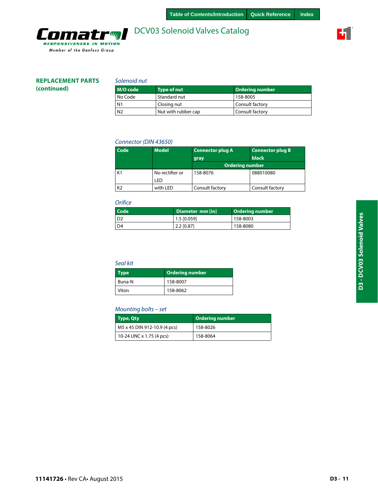

**REPLACEMENT PARTS**

**(continued)**

# *Solenoid nut*

| M/O code       | <b>Type of nut</b>  | <b>Ordering number</b> |
|----------------|---------------------|------------------------|
| No Code        | Standard nut        | 158-8005               |
| N1             | Closing nut         | Consult factory        |
| N <sub>2</sub> | Nut with rubber cap | Consult factory        |

# *Connector (DIN 43650)*

| Code           | <b>Model</b>    | <b>Connector plug A</b> | <b>Connector plug B</b> |
|----------------|-----------------|-------------------------|-------------------------|
|                |                 | gray                    | <b>black</b>            |
|                |                 | <b>Ordering number</b>  |                         |
| K1             | No rectifier or | 158-8076                | 088010080               |
|                | LED             |                         |                         |
| K <sub>2</sub> | with LED        | Consult factory         | Consult factory         |

#### *Orifice*

| Code | Diameter mm [in] | <b>Ordering number</b> |
|------|------------------|------------------------|
| l D2 | 1.5 [0.059]      | 158-8003               |
| D4   | $2.2$ [0.87]     | 158-8080               |

#### *Seal kit*

| Type   | Ordering number |
|--------|-----------------|
| Buna-N | 158-8007        |
| Viton  | 158-8062        |

# *Mounting bolts – set*

| Type, Qty                    | <b>Ordering number</b> |
|------------------------------|------------------------|
| M5 x 45 DIN 912-10.9 (4 pcs) | 158-8026               |
| 10-24 UNC x 1.75 (4 pcs)     | 158-8064               |

ъ.